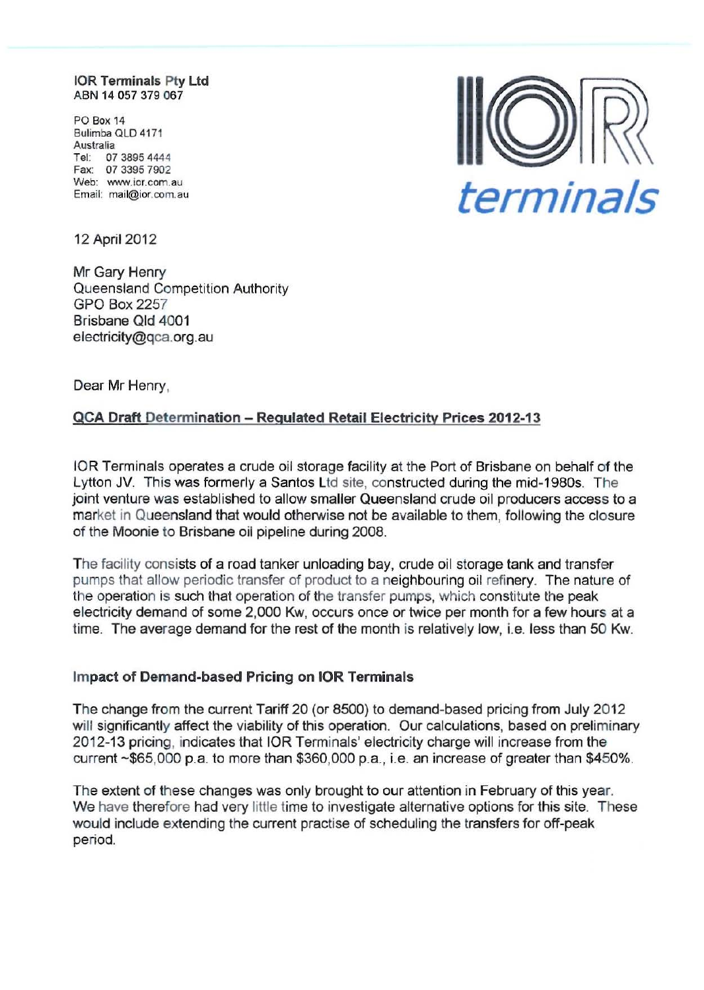**IOR Terminals Pty Ltd** ABN 14 057 379 067

PO Box 14 Bulimba QLD 4171 Australia Tel: 07 3895 444 4 Fax: 07 33957902 Web: www.ior.com.au Email: mail@ior.com.au



12 April 2012

Mr Gary Henry Queensland Competition Authority GPO Box 2257 Brisbane Qld 4001 electricity@qca.org.au

Dear Mr Henry,

## QCA Draft Determination - Regulated Retail Electricity Prices 2012-13

lOR Terminals operates a crude oil storage facility at the Port of Brisbane on behalf of the Lytton JV. This was formerly a Santos Ltd site, constructed during the mid-1980s. The joint venture was established to allow smaller Queensland crude oil producers access to a market in Queensland that would otherwise not be available to them, following the closure of the Moonie to Brisbane oil pipeline during 2008.

The facility consists of a road tanker unloading bay, crude oil storage tank and transfer pumps that allow periodic transfer of product to a neighbouring oil refinery. The nature of the operation is such that operation of the transfer pumps, which constitute the peak electricity demand of some 2,000 Kw, occurs once or twice per month for a few hours at a time. The average demand for the rest of the month is relatively low, i.e. less than 50 Kw.

## Impact of Demand-based Pricing on lOR Terminals

The change from the current Tariff 20 (or 8500) to demand-based pricing from July 2012 will significantly affect the viability of this operation. Our calculations, based on preliminary 2012-13 pricing, indicates that lOR Terminals' electricity charge will increase from the current ~\$65,000 p.a. to more than \$360,000 p.a., i.e. an increase of greater than \$450%.

The extent of these changes was only brought to our attention in February of this year. We have therefore had very little time to investigate alternative options for this site. These would include extending the current practise of scheduling the transfers for off-peak period.